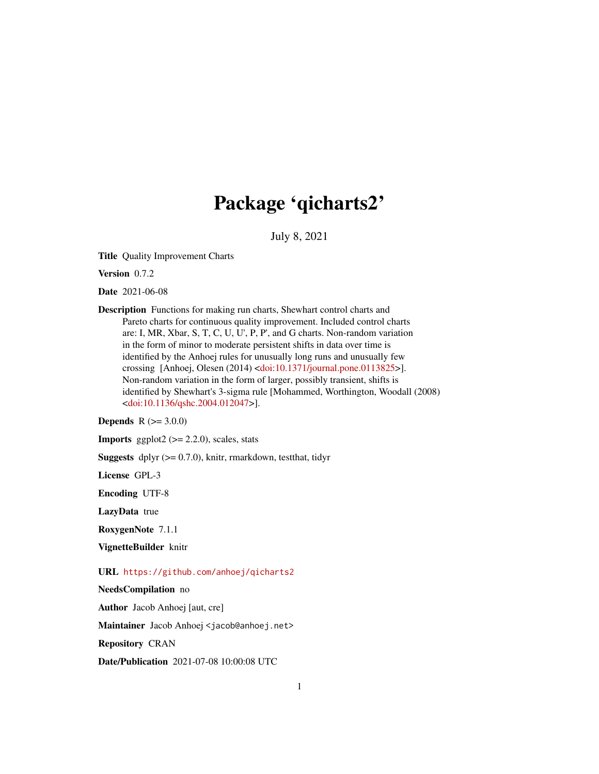# Package 'qicharts2'

July 8, 2021

Title Quality Improvement Charts

Version 0.7.2

Date 2021-06-08

Description Functions for making run charts, Shewhart control charts and Pareto charts for continuous quality improvement. Included control charts are: I, MR, Xbar, S, T, C, U, U', P, P', and G charts. Non-random variation in the form of minor to moderate persistent shifts in data over time is identified by the Anhoej rules for unusually long runs and unusually few crossing [Anhoej, Olesen (2014) [<doi:10.1371/journal.pone.0113825>](https://doi.org/10.1371/journal.pone.0113825)]. Non-random variation in the form of larger, possibly transient, shifts is identified by Shewhart's 3-sigma rule [Mohammed, Worthington, Woodall (2008) [<doi:10.1136/qshc.2004.012047>](https://doi.org/10.1136/qshc.2004.012047)].

**Depends**  $R (= 3.0.0)$ 

**Imports** ggplot2 ( $>= 2.2.0$ ), scales, stats

**Suggests** dplyr  $(>= 0.7.0)$ , knitr, rmarkdown, test that, tidyr

License GPL-3

Encoding UTF-8

LazyData true

RoxygenNote 7.1.1

VignetteBuilder knitr

URL <https://github.com/anhoej/qicharts2>

NeedsCompilation no

Author Jacob Anhoej [aut, cre]

Maintainer Jacob Anhoej <jacob@anhoej.net>

Repository CRAN

Date/Publication 2021-07-08 10:00:08 UTC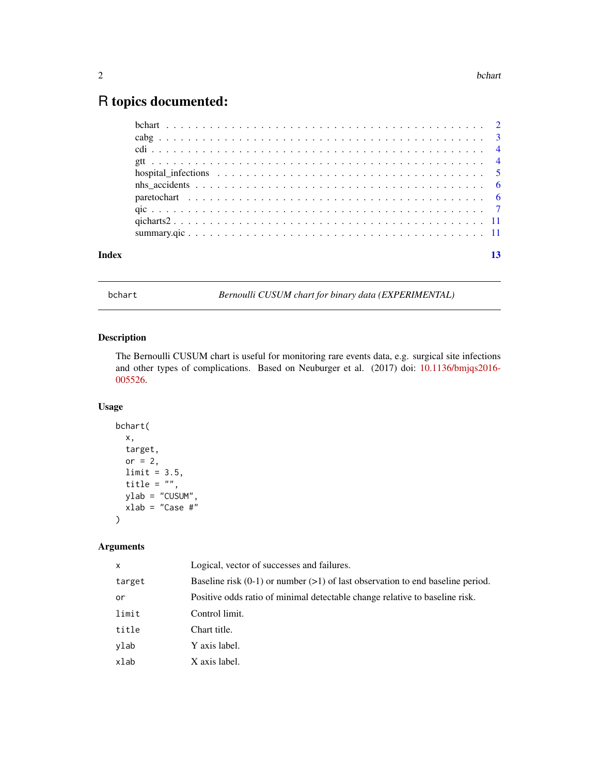## <span id="page-1-0"></span>R topics documented:

| Index |  |
|-------|--|
|       |  |
|       |  |
|       |  |
|       |  |
|       |  |
|       |  |
|       |  |
|       |  |
|       |  |
|       |  |

bchart *Bernoulli CUSUM chart for binary data (EXPERIMENTAL)*

### Description

The Bernoulli CUSUM chart is useful for monitoring rare events data, e.g. surgical site infections and other types of complications. Based on Neuburger et al. (2017) doi: [10.1136/bmjqs2016-](https://doi.org/10.1136/bmjqs-2016-005526) [005526.](https://doi.org/10.1136/bmjqs-2016-005526)

#### Usage

```
bchart(
  x,
  target,
 or = 2,
 limit = 3.5,
  title = ",
 ylab = "CUSUM",
  xlab = "Case #"
)
```
#### Arguments

| x      | Logical, vector of successes and failures.                                         |
|--------|------------------------------------------------------------------------------------|
| target | Baseline risk $(0-1)$ or number $(>1)$ of last observation to end baseline period. |
| or     | Positive odds ratio of minimal detectable change relative to baseline risk.        |
| limit  | Control limit.                                                                     |
| title  | Chart title.                                                                       |
| ylab   | Y axis label.                                                                      |
| xlab   | X axis label.                                                                      |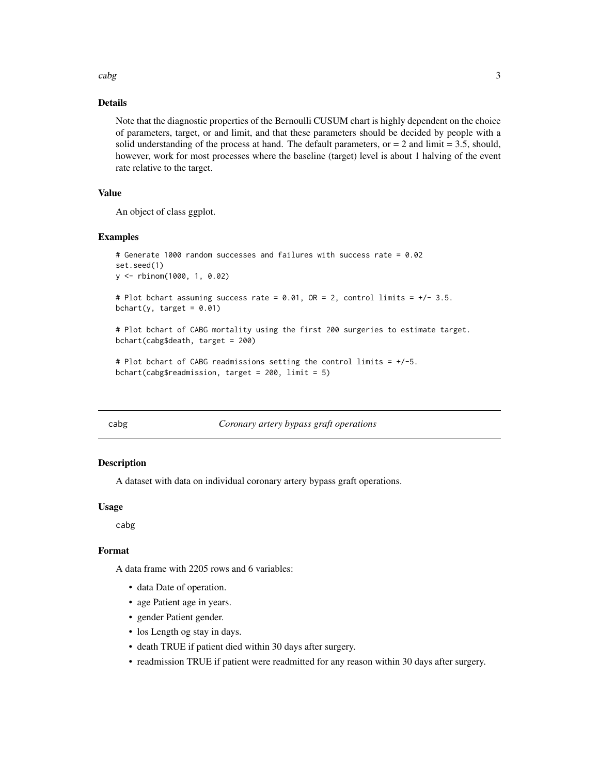<span id="page-2-0"></span> $\cosh g$  3

#### Details

Note that the diagnostic properties of the Bernoulli CUSUM chart is highly dependent on the choice of parameters, target, or and limit, and that these parameters should be decided by people with a solid understanding of the process at hand. The default parameters, or  $= 2$  and limit  $= 3.5$ , should, however, work for most processes where the baseline (target) level is about 1 halving of the event rate relative to the target.

#### Value

An object of class ggplot.

#### Examples

```
# Generate 1000 random successes and failures with success rate = 0.02
set.seed(1)
y <- rbinom(1000, 1, 0.02)
# Plot bchart assuming success rate = 0.01, OR = 2, control limits = +/- 3.5.
bchart(y, target = 0.01)
# Plot bchart of CABG mortality using the first 200 surgeries to estimate target.
bchart(cabg$death, target = 200)
# Plot bchart of CABG readmissions setting the control limits = +/-5.
```

|  | # Plot bchart of CABG readmissions setting the control limits = |  |  |
|--|-----------------------------------------------------------------|--|--|
|  | bchart(cabg\$readmission, target = 200, limit = 5)              |  |  |

#### Coronary artery bypass graft operations

#### Description

A dataset with data on individual coronary artery bypass graft operations.

#### Usage

cabg

#### Format

A data frame with 2205 rows and 6 variables:

- data Date of operation.
- age Patient age in years.
- gender Patient gender.
- los Length og stay in days.
- death TRUE if patient died within 30 days after surgery.
- readmission TRUE if patient were readmitted for any reason within 30 days after surgery.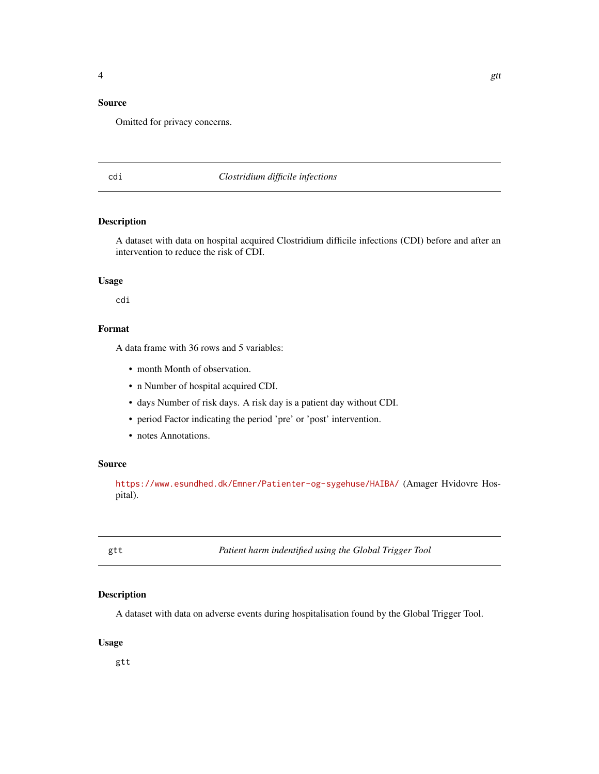#### <span id="page-3-0"></span>Source

Omitted for privacy concerns.

#### cdi *Clostridium difficile infections*

#### Description

A dataset with data on hospital acquired Clostridium difficile infections (CDI) before and after an intervention to reduce the risk of CDI.

#### Usage

cdi

#### Format

A data frame with 36 rows and 5 variables:

- month Month of observation.
- n Number of hospital acquired CDI.
- days Number of risk days. A risk day is a patient day without CDI.
- period Factor indicating the period 'pre' or 'post' intervention.
- notes Annotations.

#### Source

<https://www.esundhed.dk/Emner/Patienter-og-sygehuse/HAIBA/> (Amager Hvidovre Hospital).

gtt *Patient harm indentified using the Global Trigger Tool*

#### Description

A dataset with data on adverse events during hospitalisation found by the Global Trigger Tool.

#### Usage

gtt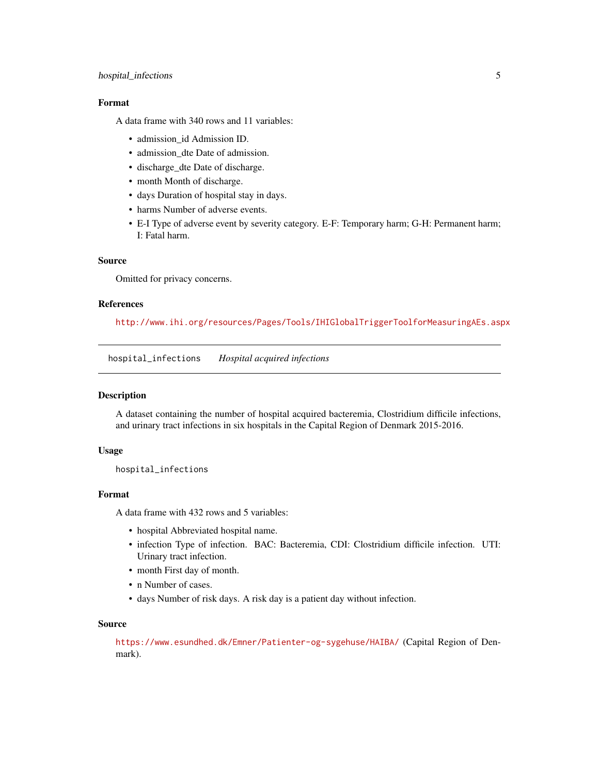#### <span id="page-4-0"></span>hospital\_infections 5

#### Format

A data frame with 340 rows and 11 variables:

- admission\_id Admission ID.
- admission\_dte Date of admission.
- discharge\_dte Date of discharge.
- month Month of discharge.
- days Duration of hospital stay in days.
- harms Number of adverse events.
- E-I Type of adverse event by severity category. E-F: Temporary harm; G-H: Permanent harm; I: Fatal harm.

#### Source

Omitted for privacy concerns.

#### References

<http://www.ihi.org/resources/Pages/Tools/IHIGlobalTriggerToolforMeasuringAEs.aspx>

hospital\_infections *Hospital acquired infections*

#### Description

A dataset containing the number of hospital acquired bacteremia, Clostridium difficile infections, and urinary tract infections in six hospitals in the Capital Region of Denmark 2015-2016.

#### Usage

hospital\_infections

#### Format

A data frame with 432 rows and 5 variables:

- hospital Abbreviated hospital name.
- infection Type of infection. BAC: Bacteremia, CDI: Clostridium difficile infection. UTI: Urinary tract infection.
- month First day of month.
- n Number of cases.
- days Number of risk days. A risk day is a patient day without infection.

#### Source

<https://www.esundhed.dk/Emner/Patienter-og-sygehuse/HAIBA/> (Capital Region of Denmark).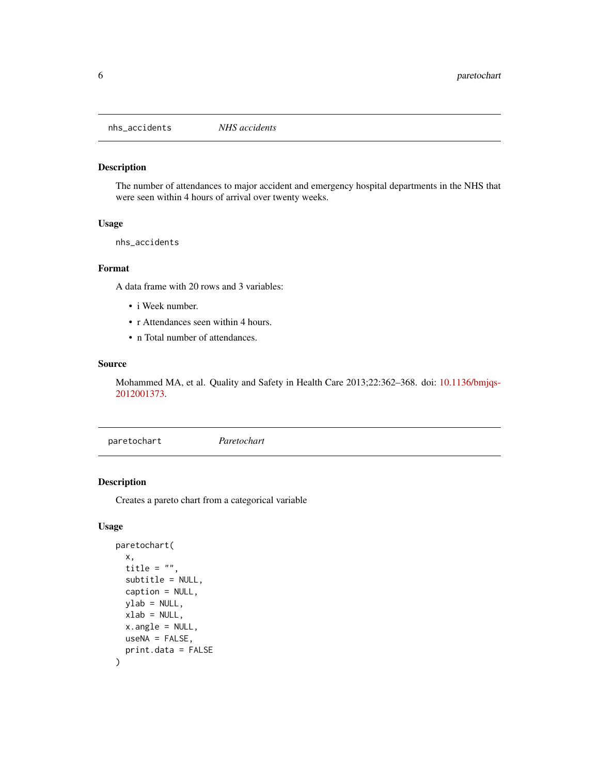<span id="page-5-0"></span>nhs\_accidents *NHS accidents*

#### Description

The number of attendances to major accident and emergency hospital departments in the NHS that were seen within 4 hours of arrival over twenty weeks.

#### Usage

nhs\_accidents

#### Format

A data frame with 20 rows and 3 variables:

- i Week number.
- r Attendances seen within 4 hours.
- n Total number of attendances.

#### Source

Mohammed MA, et al. Quality and Safety in Health Care 2013;22:362–368. doi: [10.1136/bmjqs-](https://doi.org/10.1136/bmjqs-2012-001373)[2012001373.](https://doi.org/10.1136/bmjqs-2012-001373)

paretochart *Paretochart*

#### Description

Creates a pareto chart from a categorical variable

#### Usage

```
paretochart(
  x,
  title = ",
  subtitle = NULL,
  caption = NULL,
  vlab = NULL,xlab = NULL,
  x.angle = NULL,
  useNA = FALSE,print.data = FALSE
\mathcal{E}
```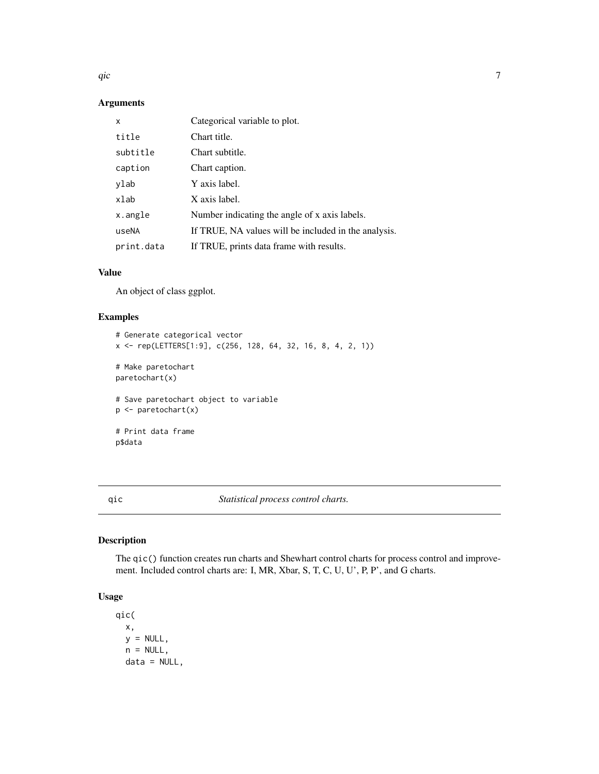<span id="page-6-0"></span> $q$ ic  $\overline{q}$ 

#### Arguments

| x          | Categorical variable to plot.                        |
|------------|------------------------------------------------------|
| title      | Chart title.                                         |
| subtitle   | Chart subtitle.                                      |
| caption    | Chart caption.                                       |
| ylab       | Y axis label.                                        |
| xlab       | X axis label.                                        |
| x.angle    | Number indicating the angle of x axis labels.        |
| useNA      | If TRUE, NA values will be included in the analysis. |
| print.data | If TRUE, prints data frame with results.             |

#### Value

An object of class ggplot.

#### Examples

```
# Generate categorical vector
x <- rep(LETTERS[1:9], c(256, 128, 64, 32, 16, 8, 4, 2, 1))
# Make paretochart
paretochart(x)
# Save paretochart object to variable
p <- paretochart(x)
# Print data frame
p$data
```
qic *Statistical process control charts.*

#### Description

The qic() function creates run charts and Shewhart control charts for process control and improvement. Included control charts are: I, MR, Xbar, S, T, C, U, U', P, P', and G charts.

#### Usage

```
qic(
 x,
 y = NULL,n = NULL,data = NULL,
```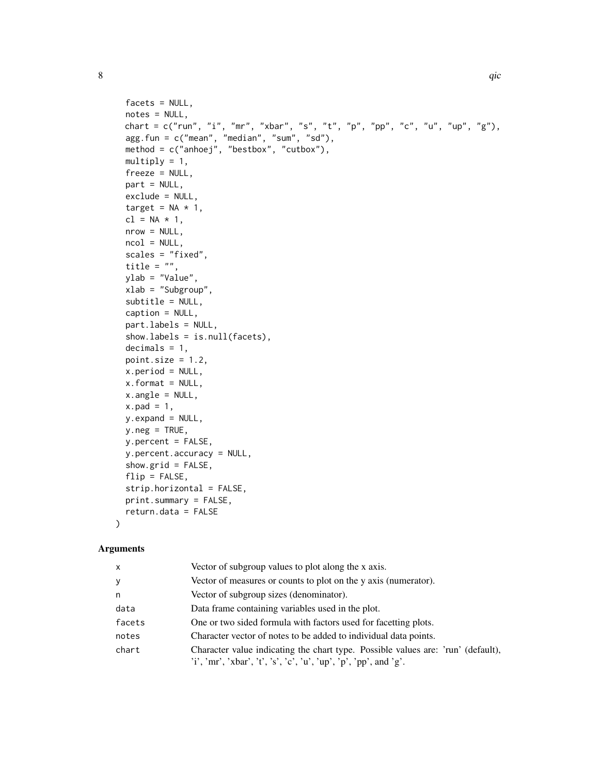```
facets = NULL,
notes = NULL,
chart = c("run", "i", "mr", "xbar", "s", "t", "p", "pp", "c", "u", "up", "g"),
agg.fun = c("mean", "median", "sum", "sd"),
method = c("anhoej", "bestbox", "cutbox"),
multiply = 1,freeze = NULL,
part = NULL,
exclude = NULL,
target = NA * 1,
cl = NA * 1,nrow = NULL,
ncol = NULL,scales = "fixed",
title = ",
ylab = "Value",
xlab = "Subgroup",
subtitle = NULL,
caption = NULL,
part.labels = NULL,
show.labels = is.null(facets),
decimals = 1,point.size = 1.2,
x.period = NULL,x. format = NULL,
x.angle = NULL,
x.pad = 1,
y.expand = NULL,
y.neg = TRUE,y.percent = FALSE,
y.percent.accuracy = NULL,
show.grid = FALSE,
flip = FALSE,strip.horizontal = FALSE,
print.summary = FALSE,
return.data = FALSE
```
#### )

#### Arguments

| x      | Vector of subgroup values to plot along the x axis.                                                                                                  |
|--------|------------------------------------------------------------------------------------------------------------------------------------------------------|
| V      | Vector of measures or counts to plot on the y axis (numerator).                                                                                      |
| n      | Vector of subgroup sizes (denominator).                                                                                                              |
| data   | Data frame containing variables used in the plot.                                                                                                    |
| facets | One or two sided formula with factors used for facetting plots.                                                                                      |
| notes  | Character vector of notes to be added to individual data points.                                                                                     |
| chart  | Character value indicating the chart type. Possible values are: 'run' (default),<br>'i', 'mr', 'xbar', 't', 's', 'c', 'u', 'up', 'p', 'pp', and 'g'. |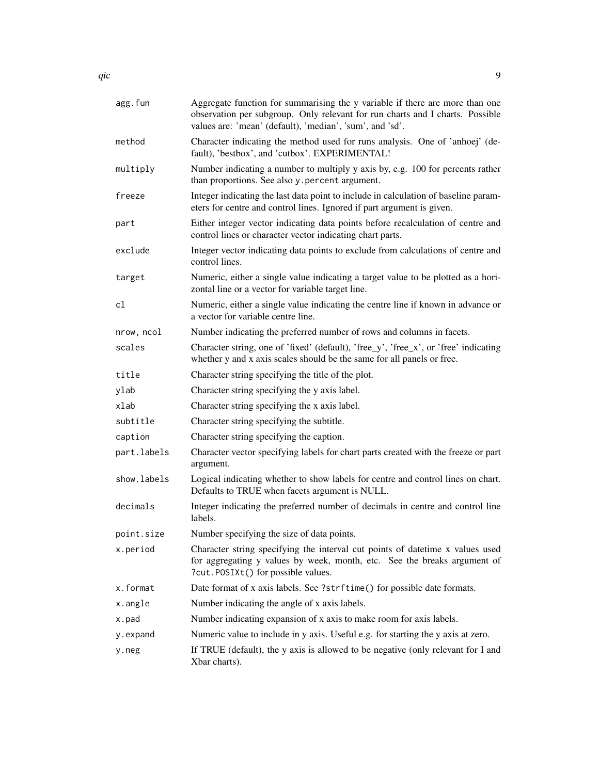| agg.fun     | Aggregate function for summarising the y variable if there are more than one<br>observation per subgroup. Only relevant for run charts and I charts. Possible<br>values are: 'mean' (default), 'median', 'sum', and 'sd'. |
|-------------|---------------------------------------------------------------------------------------------------------------------------------------------------------------------------------------------------------------------------|
| method      | Character indicating the method used for runs analysis. One of 'anhoej' (de-<br>fault), 'bestbox', and 'cutbox'. EXPERIMENTAL!                                                                                            |
| multiply    | Number indicating a number to multiply y axis by, e.g. 100 for percents rather<br>than proportions. See also y percent argument.                                                                                          |
| freeze      | Integer indicating the last data point to include in calculation of baseline param-<br>eters for centre and control lines. Ignored if part argument is given.                                                             |
| part        | Either integer vector indicating data points before recalculation of centre and<br>control lines or character vector indicating chart parts.                                                                              |
| exclude     | Integer vector indicating data points to exclude from calculations of centre and<br>control lines.                                                                                                                        |
| target      | Numeric, either a single value indicating a target value to be plotted as a hori-<br>zontal line or a vector for variable target line.                                                                                    |
| cl          | Numeric, either a single value indicating the centre line if known in advance or<br>a vector for variable centre line.                                                                                                    |
| nrow, ncol  | Number indicating the preferred number of rows and columns in facets.                                                                                                                                                     |
| scales      | Character string, one of 'fixed' (default), 'free_y', 'free_x', or 'free' indicating<br>whether y and x axis scales should be the same for all panels or free.                                                            |
| title       | Character string specifying the title of the plot.                                                                                                                                                                        |
| ylab        | Character string specifying the y axis label.                                                                                                                                                                             |
| xlab        | Character string specifying the x axis label.                                                                                                                                                                             |
| subtitle    | Character string specifying the subtitle.                                                                                                                                                                                 |
| caption     | Character string specifying the caption.                                                                                                                                                                                  |
| part.labels | Character vector specifying labels for chart parts created with the freeze or part<br>argument.                                                                                                                           |
| show.labels | Logical indicating whether to show labels for centre and control lines on chart.<br>Defaults to TRUE when facets argument is NULL.                                                                                        |
| decimals    | Integer indicating the preferred number of decimals in centre and control line<br>labels.                                                                                                                                 |
| point.size  | Number specifying the size of data points.                                                                                                                                                                                |
| x.period    | Character string specifying the interval cut points of date time x values used<br>for aggregating y values by week, month, etc. See the breaks argument of<br>?cut.POSIXt() for possible values.                          |
| x.format    | Date format of x axis labels. See ?strftime() for possible date formats.                                                                                                                                                  |
| x.angle     | Number indicating the angle of x axis labels.                                                                                                                                                                             |
| x.pad       | Number indicating expansion of x axis to make room for axis labels.                                                                                                                                                       |
| y.expand    | Numeric value to include in y axis. Useful e.g. for starting the y axis at zero.                                                                                                                                          |
| y.neg       | If TRUE (default), the y axis is allowed to be negative (only relevant for I and<br>Xbar charts).                                                                                                                         |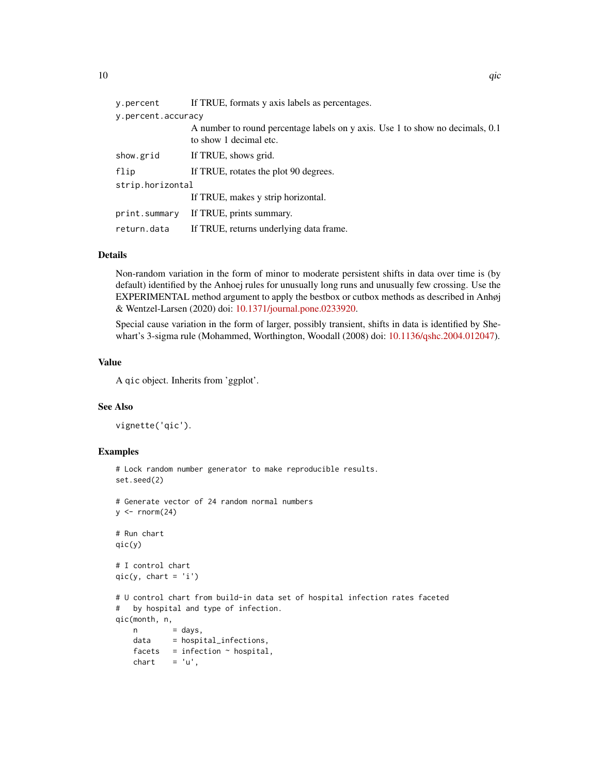| y.percent                                              | If TRUE, formats y axis labels as percentages.                                                          |  |  |
|--------------------------------------------------------|---------------------------------------------------------------------------------------------------------|--|--|
| y.percent.accuracy                                     |                                                                                                         |  |  |
|                                                        | A number to round percentage labels on y axis. Use 1 to show no decimals, 0.1<br>to show 1 decimal etc. |  |  |
| show.grid                                              | If TRUE, shows grid.                                                                                    |  |  |
| flip                                                   | If TRUE, rotates the plot 90 degrees.                                                                   |  |  |
| strip.horizontal                                       |                                                                                                         |  |  |
|                                                        | If TRUE, makes y strip horizontal.                                                                      |  |  |
| print.summary                                          | If TRUE, prints summary.                                                                                |  |  |
| If TRUE, returns underlying data frame.<br>return.data |                                                                                                         |  |  |
|                                                        |                                                                                                         |  |  |

#### Details

Non-random variation in the form of minor to moderate persistent shifts in data over time is (by default) identified by the Anhoej rules for unusually long runs and unusually few crossing. Use the EXPERIMENTAL method argument to apply the bestbox or cutbox methods as described in Anhøj & Wentzel-Larsen (2020) doi: [10.1371/journal.pone.0233920.](https://doi.org/10.1371/journal.pone.0233920)

Special cause variation in the form of larger, possibly transient, shifts in data is identified by Shewhart's 3-sigma rule (Mohammed, Worthington, Woodall (2008) doi: [10.1136/qshc.2004.012047\)](https://doi.org/10.1136/qshc.2004.012047).

#### Value

A qic object. Inherits from 'ggplot'.

#### See Also

vignette('qic').

#### Examples

```
# Lock random number generator to make reproducible results.
set.seed(2)
# Generate vector of 24 random normal numbers
y \le - rnorm(24)# Run chart
qic(y)
# I control chart
qic(y, chart = 'i')# U control chart from build-in data set of hospital infection rates faceted
# by hospital and type of infection.
qic(month, n,
   n = days,
   data = hospital_infections,
```
 $factors = infection ~ 'hospital,$  $chart = 'u',$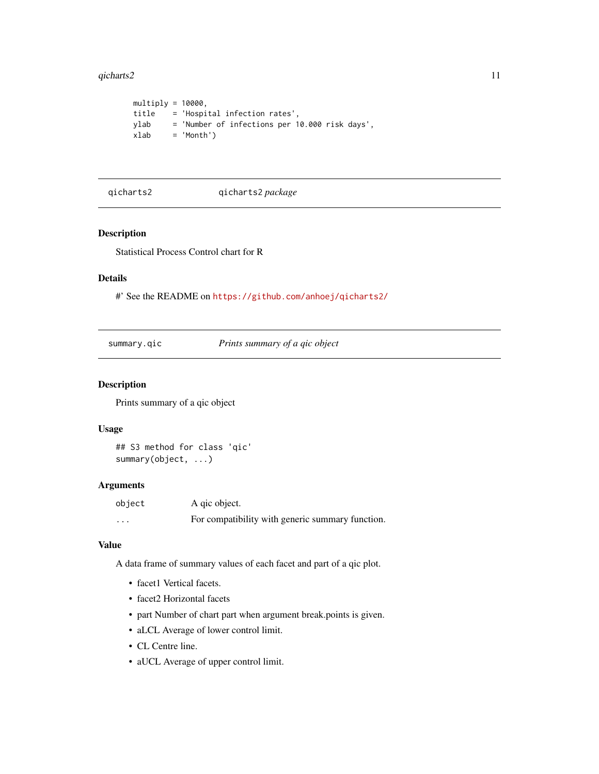#### <span id="page-10-0"></span>qicharts2  $\qquad \qquad$  11

```
multiply = 10000,title = 'Hospital infection rates',
ylab = 'Number of infections per 10.000 risk days',
xlab = 'Month')
```
qicharts2 qicharts2 *package*

#### Description

Statistical Process Control chart for R

#### Details

#' See the README on <https://github.com/anhoej/qicharts2/>

#### Description

Prints summary of a qic object

#### Usage

## S3 method for class 'qic' summary(object, ...)

#### Arguments

| object | A gic object.                                    |
|--------|--------------------------------------------------|
| .      | For compatibility with generic summary function. |

#### Value

A data frame of summary values of each facet and part of a qic plot.

- facet1 Vertical facets.
- facet2 Horizontal facets
- part Number of chart part when argument break.points is given.
- aLCL Average of lower control limit.
- CL Centre line.
- aUCL Average of upper control limit.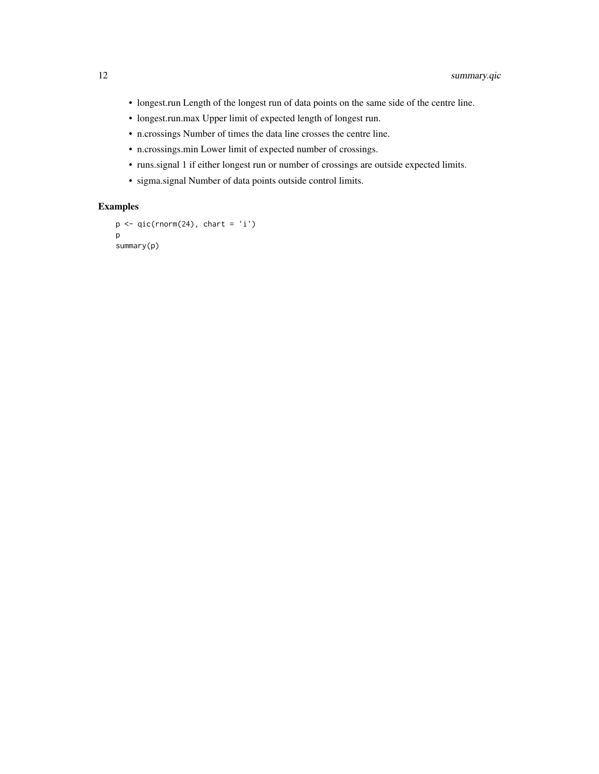- longest.run Length of the longest run of data points on the same side of the centre line.
- longest.run.max Upper limit of expected length of longest run.
- n.crossings Number of times the data line crosses the centre line.
- n.crossings.min Lower limit of expected number of crossings.
- runs.signal 1 if either longest run or number of crossings are outside expected limits.
- sigma.signal Number of data points outside control limits.

#### Examples

```
p \leftarrow qic(rnorm(24), chart = 'i')p
summary(p)
```